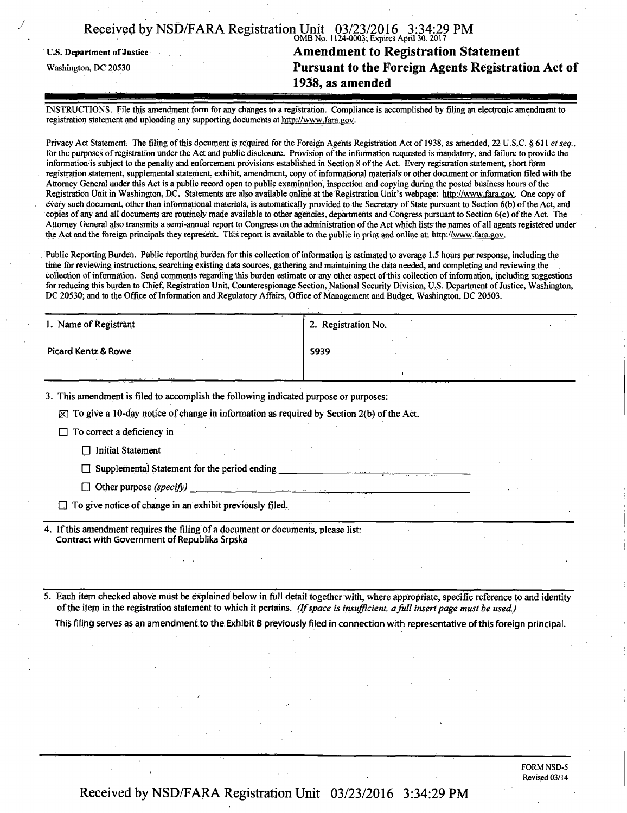|  | Received by NSD/FARA Registration Unit 03/23/2016 3:34:29 PM |                                               |  |
|--|--------------------------------------------------------------|-----------------------------------------------|--|
|  |                                                              | $OMD N_2$ 1124 $OM2$ , Evalues Antil 20, 2017 |  |

OMB No. 1124-0003; Expires April 30,2017 U.S. Department of Justice **Amendment to Registration Statement**<br>Washington, DC 20530 **Pursuant to the Foreign Agents Registration Pursuant to the Foreign Agents Registration Act of 1938, as amended** 

INSTRUCTIONS. File this amendment form for any changes to a registration. Compliance is accomplished by filing an electronic amendment to registration statement and uploading any supporting documents at http://www.fara.gov.

Privacy Act Statement. The filing of this document is required for the Foreign Agents Registration Act of 1938, as amended, 22 U.S.C. § 611 et seq., for the purposes of registration under the Act and public disclosure. Provision of the information requested is mandatory, and failure to provide the information is subject to the penalty and enforcement provisions established in Section 8 of the Act. Every registration statement, short form registration statement, supplemental statement, exhibit, amendment, copy of informational materials or other document or information filed with the Attorney General under this Act is a public record open to public examination, inspection and copying during the posted business hours of the Registration Unit in Washington, DC. Statements are also available online at the Registration Unit's webpage: http://www.fara.gov. One copy of every such document, other than informational materials, is automatically provided to the Secretary of State pursuant to Section 6(b) of the Act, and copies of any and all documents are routinely made available to other agencies, departments and Congress pursuant to Section 6(c) of the Act. The Attorney General also transmits a semi-annual report to Congress on the administration of the Act which lists the names of all agents registered under the Act and the foreign principals they represent. This report is available to the public in print and online at: http://www.fara.gov.

Public Reporting Burden. Public reporting burden for this collection of information is estimated to average 1.5 hours per response, including the time for reviewing instructions, searching existing data sources, gathering and maintaining the data needed, and completing and reviewing the collection of information. Send comments regarding this burden estimate or any other aspect of this collection of information, including suggestions for reducing this burden to Chief, Registration Unit, Counterespionage Section, National Security Division, U.S. Department of Justice, Washington, DC 20530; and to the Office of Information and Regulatory Affairs, Office of Management and Budget, Washington, DC 20503.

| 1. Name of Registrant          | 2. Registration No. |
|--------------------------------|---------------------|
| <b>Picard Kentz &amp; Rowe</b> | 5939                |
|                                |                     |

3. This amendment is filed to accomplish the following indicated purpose or purposes:

 $\overline{Q}$ ] To give a 10-day notice of change in information as required by Section 2(b) of the Act.

 $\Box$  To correct a deficiency in

 $\Box$  Initial Statement

 $\Box$  Supplemental Statement for the period ending

 $\Box$  Other purpose *(specify)* 

 $\Box$  To give notice of change in an exhibit previously filed.

If this amendment requires the filing of a document or documents, please list: Contract with Government of Republika Srpska

*5. Each item checked above must be explained below in full detail together with, where appropriate, specific reference to and identity of the item in the registration statement to which it pertains. (If space is insufficient, a full insert page must be used.)* 

This filing serves as an amendment to the Exhibit B previously filed in connection with representative of this foreign principal.

FORM NSD-5 Revised 03/14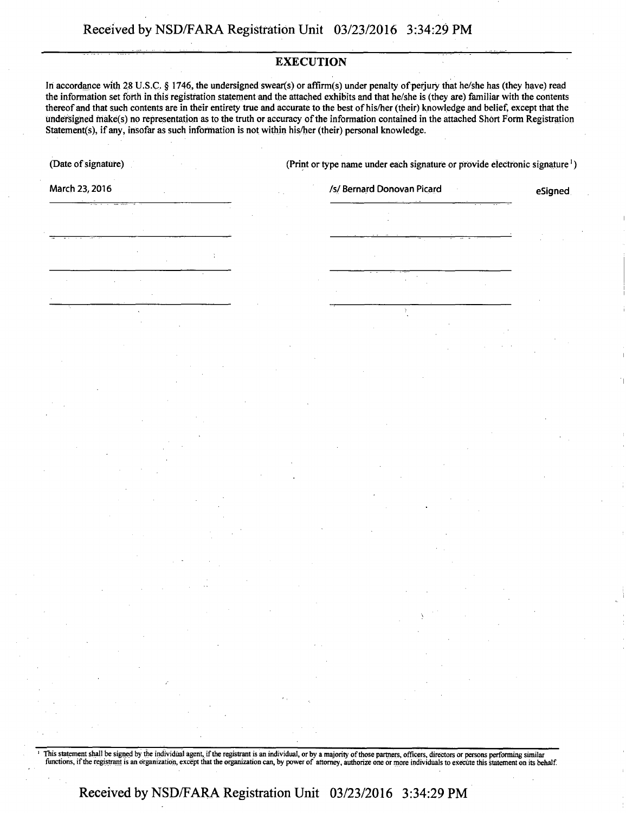# **EXECUTION**

In accordance with 28 U.S.C. § 1746, the undersigned swear(s) or affirm(s) under penalty of perjury that he/she has (they have) read the information set forth in this registration statement and the attached exhibits and that he/she is (they are) familiar with the contents thereof and that such contents are in their entirety true and accurate to the best of his/her (their) knowledge and belief, except that the Undersigned friake(s) no representation as to the truth or accuracy of the information contained in the attached Short Form Registration Statement(s), if any, insofar as such information is not within his/her (their) personal knowledge.

(Date Of signature) (Print or type name under each signature or provide electronic signature')

March 23, 2016 **Islamin 23, 2016** Islamin 2016 *Islamin 15* / Sernard Donovan Picard **Existence** eSigned

' This statement shall be signed by the individual agent, if the registrant is an individual, or by a majority of those partners, officers, directors or persons performing similar functions, if the registrant is an organization, except that the organization can, by power of attorney, authorize one or more individuals to execute this statement on its behalf.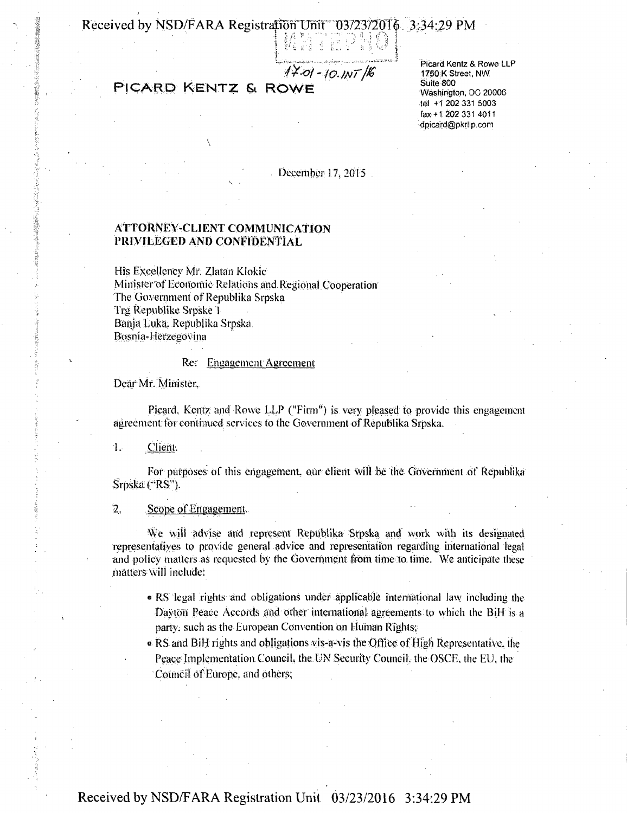Received by NSD/FARA Registration Unit 03/23/2016 3:34:29 PM

# **PICARD KENTZ & ROWE**

Picard Kentz & Rowe LLP 1750 K Street, NW Suite 800 Washington. DC 20006 tel +1 202 331 5003 fax+1 202 331 4011 dpjcard@pkrllp.com

December 17, 2015

### ATTORNEY-CLIENT COMMUNICATION PRIVILEGED AND CONFIDENTIAL

His Excellency Mr. Zlatan Klokic Minister of Economic Relations and Regional Cooperation The Government of Republika Srpska Trg Republike Srpske 1 Banja l.uka. Republika Srpska, Bosnia-Herzegovina

#### Re'- Engagement Agreement

Dear Mr. Minister.

Pieard, Kentz and Rowe LLP ("Firm") is very pleased to provide this engagement agreement: tor continued services to (he Government of Republika Srpska.

1. Client.

For purposes of this engagement, our client will be the Government of Republika Srpska ("RS").

2. Scope of Engagement,

We will advise and represent Republika Srpska and work with its designated representatives to provide general advice and representation regarding international legal and policy matters as requested by the Government from time to time. We anticipate these matterswill include:

- « RS legal rights and obligations under applicable international law including the Dayton Peace Accords and other international agreements to which the BiH is a party, such as the European Convention on Human Rights;
- $\bullet$  RS and BiH rights and obligations vis-a-vis the Office of High Representative, the Peace Implementation Council, the UN Security Council, the OSCE, the EU, the Council of Europe, and others;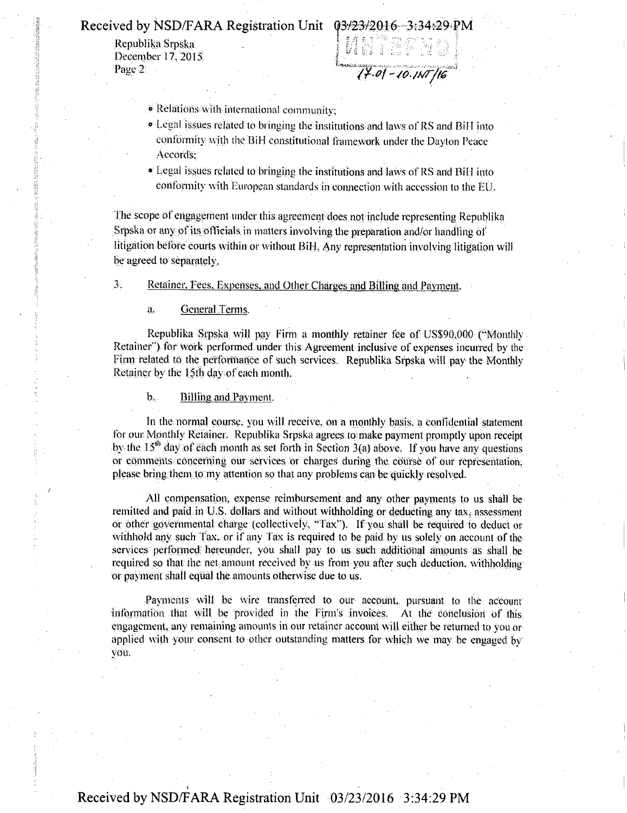Republika Srpska. December 17, 2015;<br>Page 2:

Received by NSD/FARA Registration Unit  $\begin{bmatrix} 03/23/2016-3:34:29 \text{ P.M} \\ 03/23/2016-3:34:29 \text{ P.M} \\ \text{Page 12} \end{bmatrix}$ <br>
Page 2

- \* Relations with international community;
- » Legal issues related to bringing the institutions and laws of RS and Bill into conformity with the BiH constitutional framework under the Dayton Peace Accords;
- Legal issues related id bringing the institutions and laws of RS and Bil l into conformity with European standards in connection with accession to the EU,

The scope of engagement-under this agreement does not include representing Republika Srpska or any of its officials in matters involving the preparation and/or handling of litigation before courts within or without Bill, Any representation involving litigation will be agreed to separately,

3. - - Retainer. Fees. Expenses, and Other Charges and Billing and Payment.

a. General Terms.

Republika Srpska will pay Firm a monthly retainer fee of US\$90,000 ("Monthly Retainer") for work performed under this Agreement inclusive of expenses incurred by the Firm related to the performance of such services. Republika Srpska will pay the Monthly Retainer by the 15th day of each month.

b. Billing and Payment.

In the normal course, you will receive, on a monthly basis, a confidential statement for our Monthly Retainer. Republika Srpska agrees to make payment promptly upon receipt by the  $15<sup>th</sup>$  day of each month as set forth in Section 3(a) above. If you have any questions or comments concerning our services or charges during the course of our representation. please bring them to my attention so that any problems can be quickly resolved.

All compensation, expense reimbursement and any other payments- to us shall be remitted and paid in U.S. dollars and without withholding or deducting any tax, assessment or other governmental charge (collectively, "Tax"). If you shall be required to deduct or withhold any such Fax. or if any Tax is required to be paid by us solely on account of the services performed hereunder, you shall pay to us such additional amounts as shall be required so that the net amount received by us from you after such deduction, withholding or payment shall equal the amounts otherwise due to us.

Payments will be wire transferred to our account, pursuant to the account information that will be provided in the Firm's invoices, At the conclusion Of this engagement, any remaining amounts in our retainer account will either be returned to you or applied with your consent to other outstanding matters for which we may be engaged by you,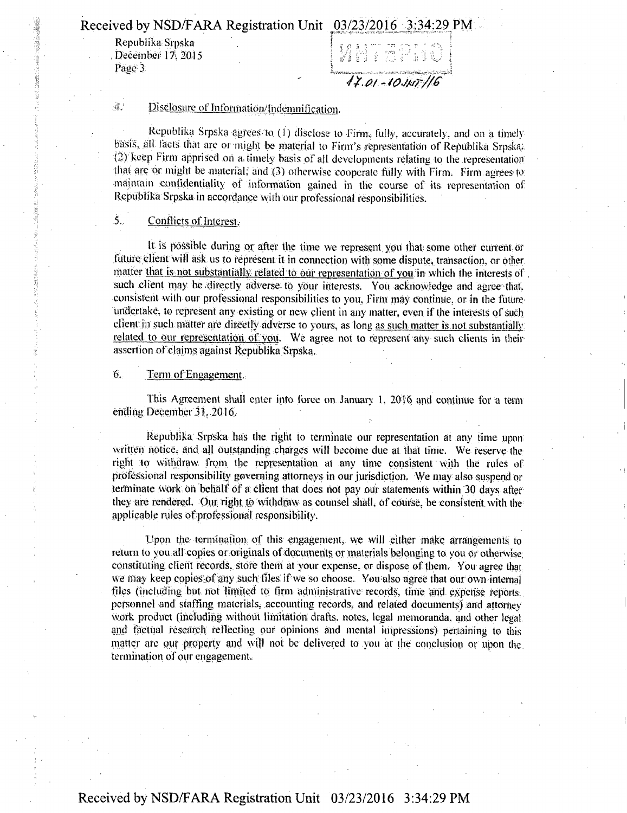**Received by NSD/FARA Registration Unit 03/23/2016 3:34:29 PM** 

Republika Srpska *Republika; Srpska | f 0 f - r- : -, f- • >, I* 

. .....,»......«...,. .... . Page 3.  $\Box$  $P_{A} = \frac{1}{2}$ 

# 4. Disclosure of Information/Indemnification.

Republika Srpska agrees to (1) disclose to Firm, fully, accurately, and on a timelybasis, all taets that are or •might be material to Finn's representation of Republika Srpska: (3) keep Firm apprised on a; timely basis of ajl developments relating to the representation that are or might be material; and (3) otherwise cooperate fully with Firm. Firm agrees to: maintain confidentiality of information gained in the course of its representation of Republika Srpska in accordance with our professional responsibilities.

## 5- Conflicts of Interest.

It is possible during or after the time we represent you that some other current or future client will ask us to represent it in connection with some dispute, transaction, or other matter that is not substantially related to our representation of you in which the interests of such client may be directly adverse to your interests. You acknowledge and agree that, consistent with our professional responsibilities to you. Firm may continue, or in the future undertake, to represent any existing or new client in any matter, even if the interests of such client in such matter are directly adverse to yours, as long as such matter is not substantially related to our representation, of vou. We agree not to represent any sueh clients in their assertion of claims against Repiiblika Srpska.

#### 6. Term of Engagement.

This Agreement shall enter into force on. January 1, 2016 and continue for a term ending December 31, 2016.

Republika Srpska has the fight to terminate our representation at any time upon written notice, and all Outstanding charges will become due at that time. We reserve the right to withdraw from the representation at any time consistent with the rules of professional responsibility governing attorneys in our jurisdiction. We may also suspend or terminate work on behalf Of a; client that does not pay our statements within 30 days after they are rendered. Our right to withdraw as counsel shall, of course, be consistent with the applicable rules of professional responsibility.

Upon the termination of this engagement, we will either make arrangements to return to you all copies or originals of documents or materials belonging to you or otherwise constituting client records, store them at your expense, or dispose of them. You agree that we may keep copies of any such files if we so choose. You also agree that our own internal files (including but not limited to firm administrative records, time and expense reports, personnel and staffing materials, accounting records, and related documents) and attorney work product (including without limitation drafts, notes, legal memoranda, and other legal and factual research reflecting our Opinions and mental impressions) pertaining to this matter are our property and will not be delivered to you at the conclusion or upon the termination of our engagement.